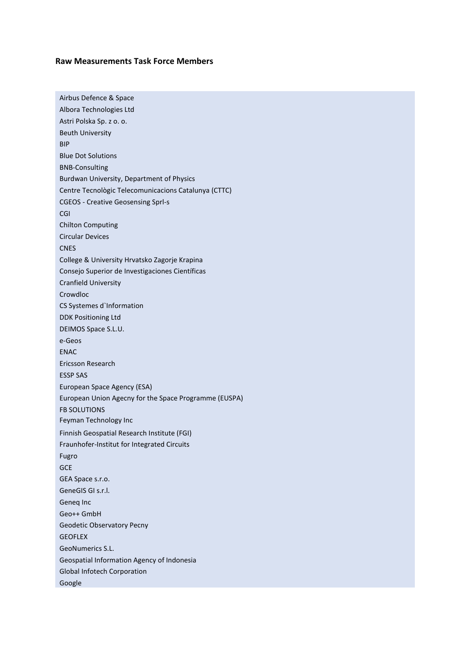## **Raw Measurements Task Force Members**

| Airbus Defence & Space                                |
|-------------------------------------------------------|
| Albora Technologies Ltd                               |
| Astri Polska Sp. z o. o.                              |
| <b>Beuth University</b>                               |
| BIP                                                   |
| <b>Blue Dot Solutions</b>                             |
| <b>BNB-Consulting</b>                                 |
| Burdwan University, Department of Physics             |
| Centre Tecnològic Telecomunicacions Catalunya (CTTC)  |
| <b>CGEOS - Creative Geosensing Sprl-s</b>             |
| CGI                                                   |
| <b>Chilton Computing</b>                              |
| <b>Circular Devices</b>                               |
| <b>CNES</b>                                           |
| College & University Hrvatsko Zagorje Krapina         |
| Consejo Superior de Investigaciones Científicas       |
| <b>Cranfield University</b>                           |
| Crowdloc                                              |
| CS Systemes d'Information                             |
| <b>DDK Positioning Ltd</b>                            |
| DEIMOS Space S.L.U.                                   |
| e-Geos                                                |
| <b>ENAC</b>                                           |
| Ericsson Research                                     |
| <b>ESSP SAS</b>                                       |
| European Space Agency (ESA)                           |
| European Union Agecny for the Space Programme (EUSPA) |
| <b>FB SOLUTIONS</b>                                   |
| Feyman Technology Inc                                 |
| Finnish Geospatial Research Institute (FGI)           |
| Fraunhofer-Institut for Integrated Circuits           |
| Fugro                                                 |
| GCE                                                   |
| GEA Space s.r.o.                                      |
| GeneGIS GI s.r.l.                                     |
| Geneg Inc                                             |
| Geo++ GmbH                                            |
| Geodetic Observatory Pecny                            |
| <b>GEOFLEX</b>                                        |
| GeoNumerics S.L.                                      |
| Geospatial Information Agency of Indonesia            |
| <b>Global Infotech Corporation</b>                    |
| Google                                                |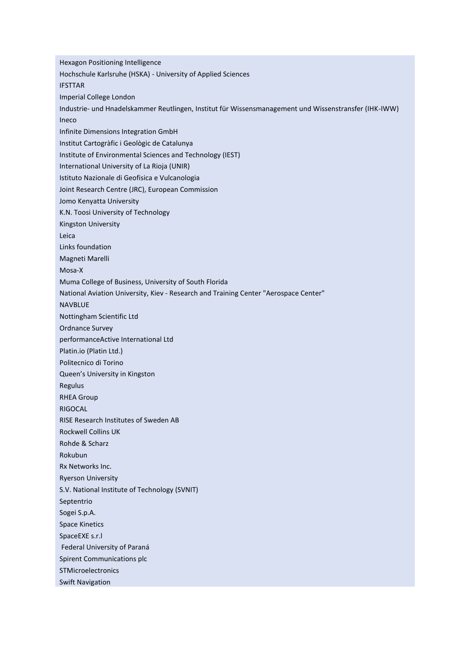Hexagon Positioning Intelligence Hochschule Karlsruhe (HSKA) - University of Applied Sciences IFSTTAR Imperial College London Industrie- und Hnadelskammer Reutlingen, Institut für Wissensmanagement und Wissenstransfer (IHK-IWW) Ineco Infinite Dimensions Integration GmbH Institut Cartogràfic i Geològic de Catalunya Institute of Environmental Sciences and Technology (IEST) International University of La Rioja (UNIR) Istituto Nazionale di Geofisica e Vulcanologia Joint Research Centre (JRC), European Commission Jomo Kenyatta University K.N. Toosi University of Technology Kingston University Leica Links foundation Magneti Marelli Mosa-X Muma College of Business, University of South Florida National Aviation University, Kiev - Research and Training Center "Aerospace Center" NAVBLUE Nottingham Scientific Ltd Ordnance Survey performanceActive International Ltd Platin.io (Platin Ltd.) Politecnico di Torino Queen's University in Kingston Regulus RHEA Group RIGOCAL RISE Research Institutes of Sweden AB Rockwell Collins UK Rohde & Scharz Rokubun Rx Networks Inc. Ryerson University S.V. National Institute of Technology (SVNIT) Septentrio Sogei S.p.A. Space Kinetics SpaceEXE s.r.l Federal University of Paraná Spirent Communications plc **STMicroelectronics** Swift Navigation